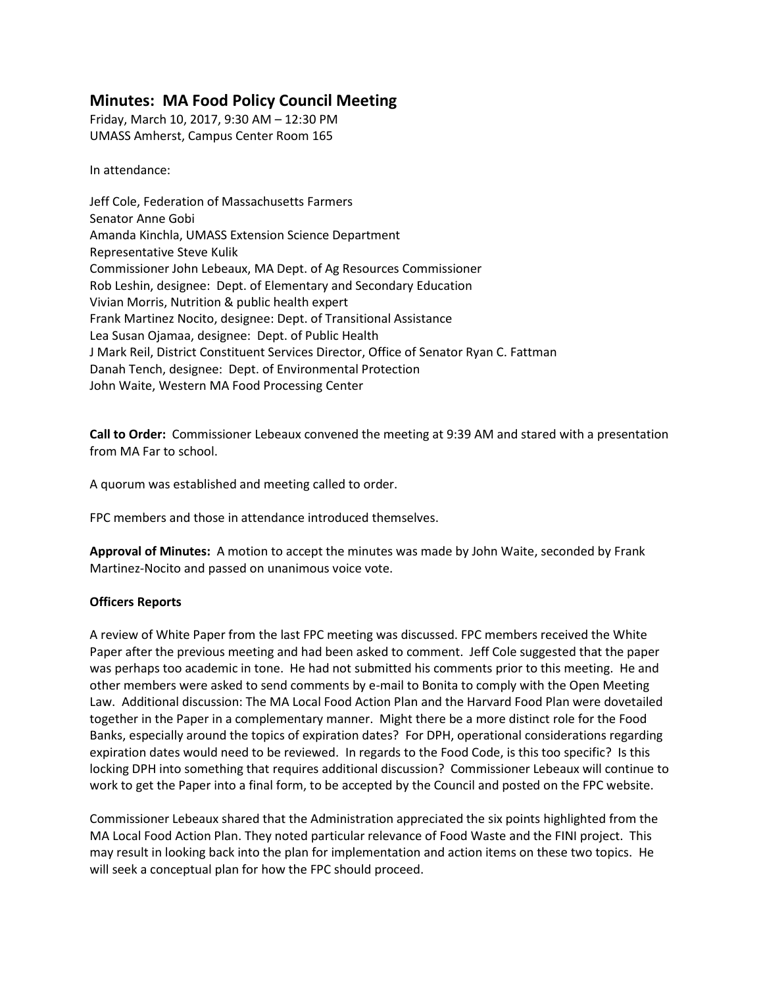# **Minutes: MA Food Policy Council Meeting**

Friday, March 10, 2017, 9:30 AM – 12:30 PM UMASS Amherst, Campus Center Room 165

In attendance:

Jeff Cole, Federation of Massachusetts Farmers Senator Anne Gobi Amanda Kinchla, UMASS Extension Science Department Representative Steve Kulik Commissioner John Lebeaux, MA Dept. of Ag Resources Commissioner Rob Leshin, designee: Dept. of Elementary and Secondary Education Vivian Morris, Nutrition & public health expert Frank Martinez Nocito, designee: Dept. of Transitional Assistance Lea Susan Ojamaa, designee: Dept. of Public Health J Mark Reil, District Constituent Services Director, Office of Senator Ryan C. Fattman Danah Tench, designee: Dept. of Environmental Protection John Waite, Western MA Food Processing Center

**Call to Order:** Commissioner Lebeaux convened the meeting at 9:39 AM and stared with a presentation from MA Far to school.

A quorum was established and meeting called to order.

FPC members and those in attendance introduced themselves.

**Approval of Minutes:** A motion to accept the minutes was made by John Waite, seconded by Frank Martinez-Nocito and passed on unanimous voice vote.

# **Officers Reports**

A review of White Paper from the last FPC meeting was discussed. FPC members received the White Paper after the previous meeting and had been asked to comment. Jeff Cole suggested that the paper was perhaps too academic in tone. He had not submitted his comments prior to this meeting. He and other members were asked to send comments by e-mail to Bonita to comply with the Open Meeting Law. Additional discussion: The MA Local Food Action Plan and the Harvard Food Plan were dovetailed together in the Paper in a complementary manner. Might there be a more distinct role for the Food Banks, especially around the topics of expiration dates? For DPH, operational considerations regarding expiration dates would need to be reviewed. In regards to the Food Code, is this too specific? Is this locking DPH into something that requires additional discussion? Commissioner Lebeaux will continue to work to get the Paper into a final form, to be accepted by the Council and posted on the FPC website.

Commissioner Lebeaux shared that the Administration appreciated the six points highlighted from the MA Local Food Action Plan. They noted particular relevance of Food Waste and the FINI project. This may result in looking back into the plan for implementation and action items on these two topics. He will seek a conceptual plan for how the FPC should proceed.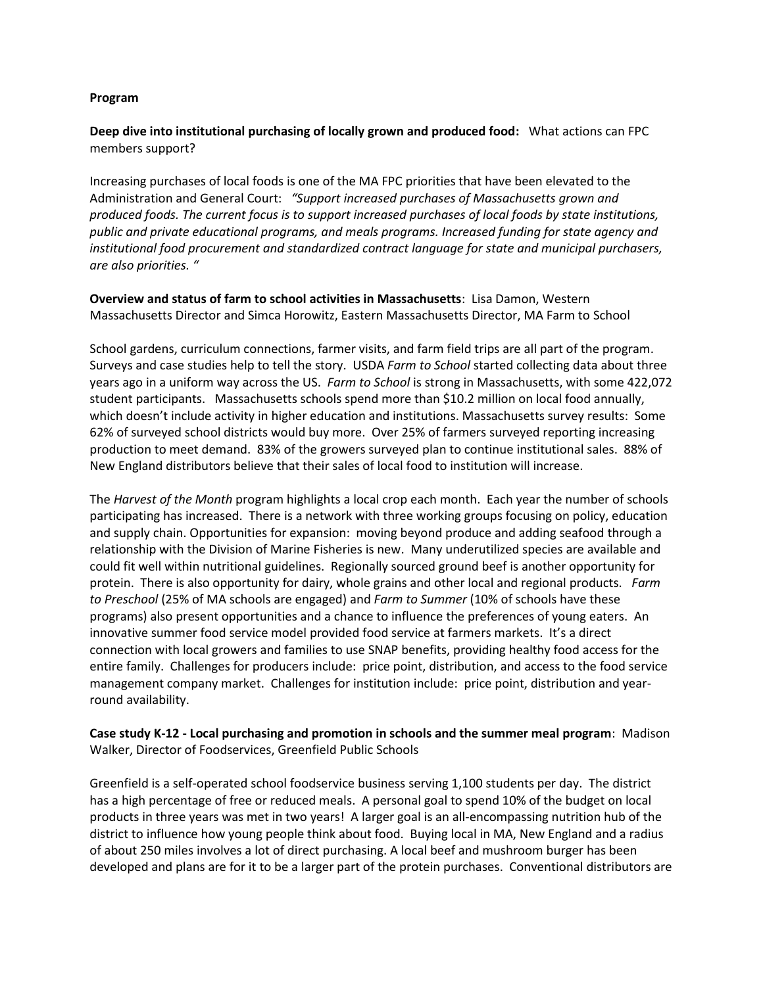#### **Program**

# **Deep dive into institutional purchasing of locally grown and produced food:** What actions can FPC members support?

Increasing purchases of local foods is one of the MA FPC priorities that have been elevated to the Administration and General Court: *"Support increased purchases of Massachusetts grown and produced foods. The current focus is to support increased purchases of local foods by state institutions, public and private educational programs, and meals programs. Increased funding for state agency and institutional food procurement and standardized contract language for state and municipal purchasers, are also priorities. "*

**Overview and status of farm to school activities in Massachusetts**: Lisa Damon, Western Massachusetts Director and Simca Horowitz, Eastern Massachusetts Director, MA Farm to School

School gardens, curriculum connections, farmer visits, and farm field trips are all part of the program. Surveys and case studies help to tell the story. USDA *Farm to School* started collecting data about three years ago in a uniform way across the US. *Farm to School* is strong in Massachusetts, with some 422,072 student participants. Massachusetts schools spend more than \$10.2 million on local food annually, which doesn't include activity in higher education and institutions. Massachusetts survey results: Some 62% of surveyed school districts would buy more. Over 25% of farmers surveyed reporting increasing production to meet demand. 83% of the growers surveyed plan to continue institutional sales. 88% of New England distributors believe that their sales of local food to institution will increase.

The *Harvest of the Month* program highlights a local crop each month. Each year the number of schools participating has increased. There is a network with three working groups focusing on policy, education and supply chain. Opportunities for expansion: moving beyond produce and adding seafood through a relationship with the Division of Marine Fisheries is new. Many underutilized species are available and could fit well within nutritional guidelines. Regionally sourced ground beef is another opportunity for protein. There is also opportunity for dairy, whole grains and other local and regional products. *Farm to Preschool* (25% of MA schools are engaged) and *Farm to Summer* (10% of schools have these programs) also present opportunities and a chance to influence the preferences of young eaters. An innovative summer food service model provided food service at farmers markets. It's a direct connection with local growers and families to use SNAP benefits, providing healthy food access for the entire family. Challenges for producers include: price point, distribution, and access to the food service management company market. Challenges for institution include: price point, distribution and yearround availability.

**Case study K-12 - Local purchasing and promotion in schools and the summer meal program**: Madison Walker, Director of Foodservices, Greenfield Public Schools

Greenfield is a self-operated school foodservice business serving 1,100 students per day. The district has a high percentage of free or reduced meals. A personal goal to spend 10% of the budget on local products in three years was met in two years! A larger goal is an all-encompassing nutrition hub of the district to influence how young people think about food. Buying local in MA, New England and a radius of about 250 miles involves a lot of direct purchasing. A local beef and mushroom burger has been developed and plans are for it to be a larger part of the protein purchases. Conventional distributors are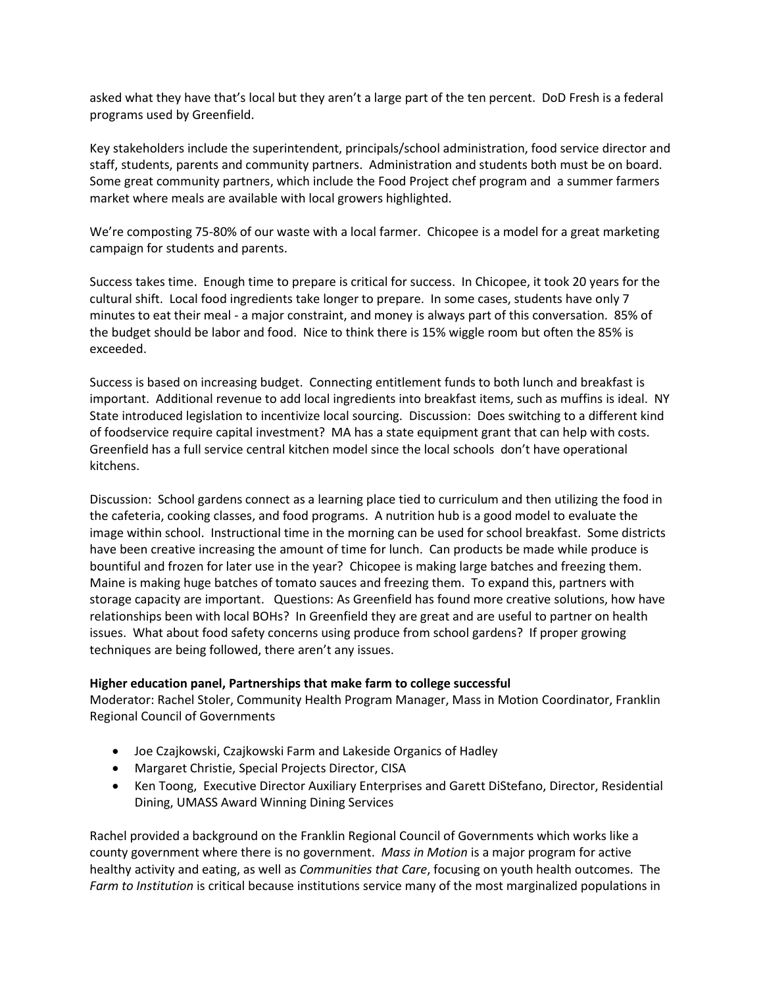asked what they have that's local but they aren't a large part of the ten percent. DoD Fresh is a federal programs used by Greenfield.

Key stakeholders include the superintendent, principals/school administration, food service director and staff, students, parents and community partners. Administration and students both must be on board. Some great community partners, which include the Food Project chef program and a summer farmers market where meals are available with local growers highlighted.

We're composting 75-80% of our waste with a local farmer. Chicopee is a model for a great marketing campaign for students and parents.

Success takes time. Enough time to prepare is critical for success. In Chicopee, it took 20 years for the cultural shift. Local food ingredients take longer to prepare. In some cases, students have only 7 minutes to eat their meal - a major constraint, and money is always part of this conversation. 85% of the budget should be labor and food. Nice to think there is 15% wiggle room but often the 85% is exceeded.

Success is based on increasing budget. Connecting entitlement funds to both lunch and breakfast is important. Additional revenue to add local ingredients into breakfast items, such as muffins is ideal. NY State introduced legislation to incentivize local sourcing. Discussion: Does switching to a different kind of foodservice require capital investment? MA has a state equipment grant that can help with costs. Greenfield has a full service central kitchen model since the local schools don't have operational kitchens.

Discussion: School gardens connect as a learning place tied to curriculum and then utilizing the food in the cafeteria, cooking classes, and food programs. A nutrition hub is a good model to evaluate the image within school. Instructional time in the morning can be used for school breakfast. Some districts have been creative increasing the amount of time for lunch. Can products be made while produce is bountiful and frozen for later use in the year? Chicopee is making large batches and freezing them. Maine is making huge batches of tomato sauces and freezing them. To expand this, partners with storage capacity are important. Questions: As Greenfield has found more creative solutions, how have relationships been with local BOHs? In Greenfield they are great and are useful to partner on health issues. What about food safety concerns using produce from school gardens? If proper growing techniques are being followed, there aren't any issues.

# **Higher education panel, Partnerships that make farm to college successful**

Moderator: Rachel Stoler, Community Health Program Manager, Mass in Motion Coordinator, Franklin Regional Council of Governments

- Joe Czajkowski, Czajkowski Farm and Lakeside Organics of Hadley
- Margaret Christie, Special Projects Director, CISA
- Ken Toong, Executive Director Auxiliary Enterprises and Garett DiStefano, Director, Residential Dining, UMASS Award Winning Dining Services

Rachel provided a background on the Franklin Regional Council of Governments which works like a county government where there is no government. *Mass in Motion* is a major program for active healthy activity and eating, as well as *Communities that Care*, focusing on youth health outcomes. The *Farm to Institution* is critical because institutions service many of the most marginalized populations in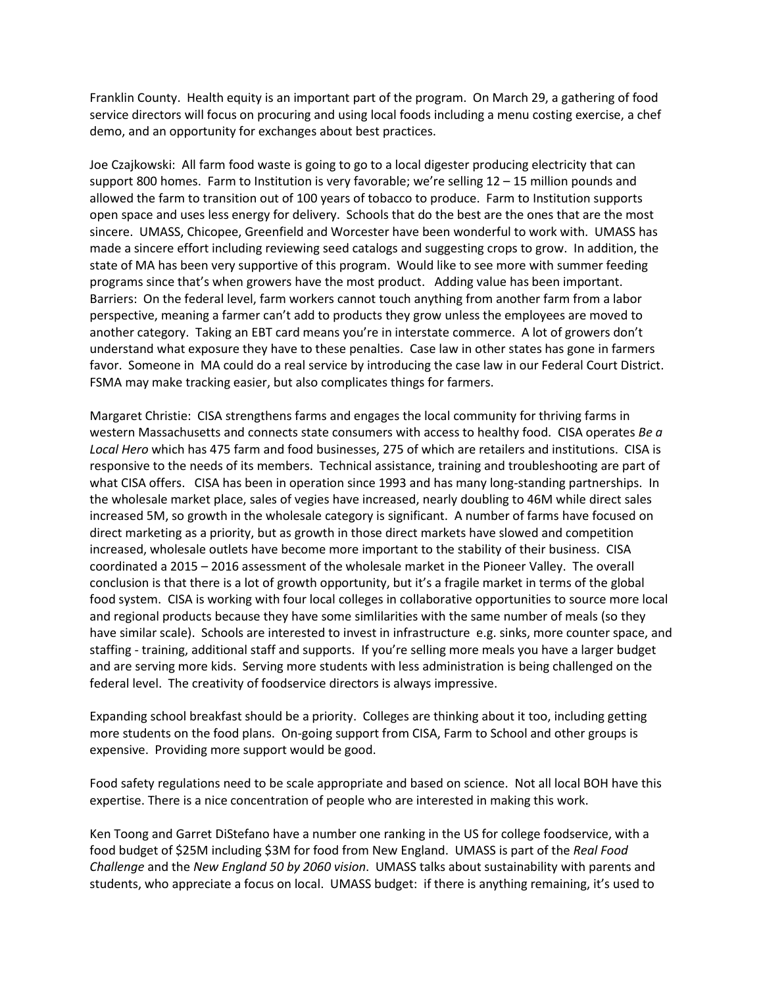Franklin County. Health equity is an important part of the program. On March 29, a gathering of food service directors will focus on procuring and using local foods including a menu costing exercise, a chef demo, and an opportunity for exchanges about best practices.

Joe Czajkowski: All farm food waste is going to go to a local digester producing electricity that can support 800 homes. Farm to Institution is very favorable; we're selling 12 – 15 million pounds and allowed the farm to transition out of 100 years of tobacco to produce. Farm to Institution supports open space and uses less energy for delivery. Schools that do the best are the ones that are the most sincere. UMASS, Chicopee, Greenfield and Worcester have been wonderful to work with. UMASS has made a sincere effort including reviewing seed catalogs and suggesting crops to grow. In addition, the state of MA has been very supportive of this program. Would like to see more with summer feeding programs since that's when growers have the most product. Adding value has been important. Barriers: On the federal level, farm workers cannot touch anything from another farm from a labor perspective, meaning a farmer can't add to products they grow unless the employees are moved to another category. Taking an EBT card means you're in interstate commerce. A lot of growers don't understand what exposure they have to these penalties. Case law in other states has gone in farmers favor. Someone in MA could do a real service by introducing the case law in our Federal Court District. FSMA may make tracking easier, but also complicates things for farmers.

Margaret Christie: CISA strengthens farms and engages the local community for thriving farms in western Massachusetts and connects state consumers with access to healthy food. CISA operates *Be a Local Hero* which has 475 farm and food businesses, 275 of which are retailers and institutions. CISA is responsive to the needs of its members. Technical assistance, training and troubleshooting are part of what CISA offers. CISA has been in operation since 1993 and has many long-standing partnerships. In the wholesale market place, sales of vegies have increased, nearly doubling to 46M while direct sales increased 5M, so growth in the wholesale category is significant. A number of farms have focused on direct marketing as a priority, but as growth in those direct markets have slowed and competition increased, wholesale outlets have become more important to the stability of their business. CISA coordinated a 2015 – 2016 assessment of the wholesale market in the Pioneer Valley. The overall conclusion is that there is a lot of growth opportunity, but it's a fragile market in terms of the global food system. CISA is working with four local colleges in collaborative opportunities to source more local and regional products because they have some simlilarities with the same number of meals (so they have similar scale). Schools are interested to invest in infrastructure e.g. sinks, more counter space, and staffing - training, additional staff and supports. If you're selling more meals you have a larger budget and are serving more kids. Serving more students with less administration is being challenged on the federal level. The creativity of foodservice directors is always impressive.

Expanding school breakfast should be a priority. Colleges are thinking about it too, including getting more students on the food plans. On-going support from CISA, Farm to School and other groups is expensive. Providing more support would be good.

Food safety regulations need to be scale appropriate and based on science. Not all local BOH have this expertise. There is a nice concentration of people who are interested in making this work.

Ken Toong and Garret DiStefano have a number one ranking in the US for college foodservice, with a food budget of \$25M including \$3M for food from New England. UMASS is part of the *Real Food Challenge* and the *New England 50 by 2060 vision*. UMASS talks about sustainability with parents and students, who appreciate a focus on local. UMASS budget: if there is anything remaining, it's used to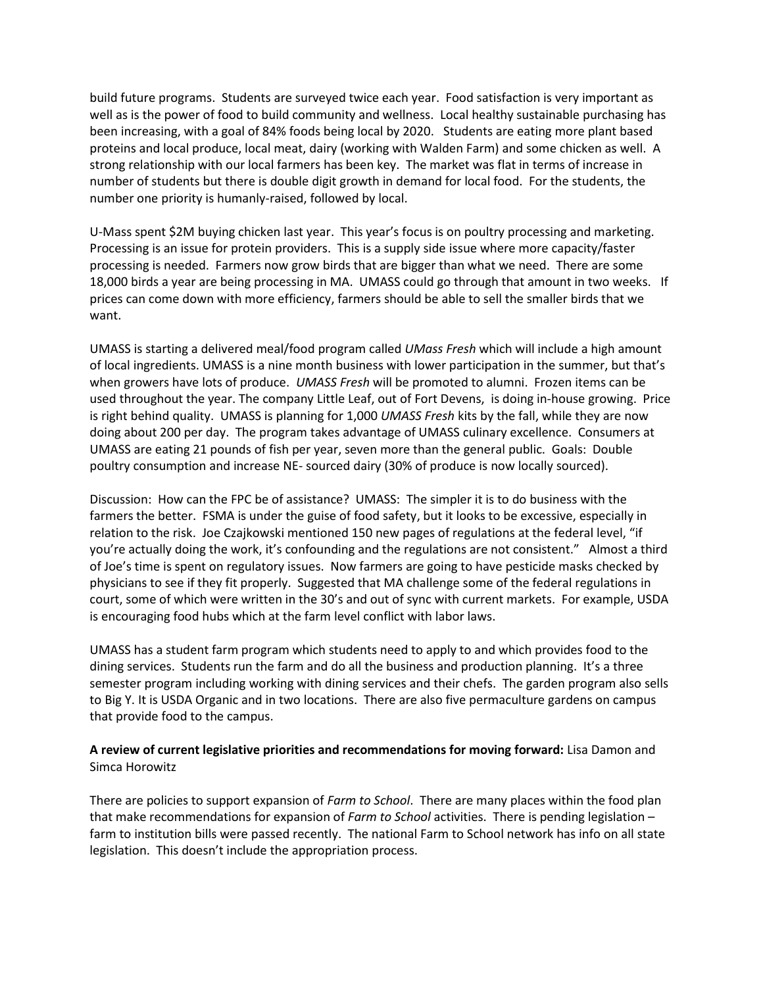build future programs. Students are surveyed twice each year. Food satisfaction is very important as well as is the power of food to build community and wellness. Local healthy sustainable purchasing has been increasing, with a goal of 84% foods being local by 2020. Students are eating more plant based proteins and local produce, local meat, dairy (working with Walden Farm) and some chicken as well. A strong relationship with our local farmers has been key. The market was flat in terms of increase in number of students but there is double digit growth in demand for local food. For the students, the number one priority is humanly-raised, followed by local.

U-Mass spent \$2M buying chicken last year. This year's focus is on poultry processing and marketing. Processing is an issue for protein providers. This is a supply side issue where more capacity/faster processing is needed. Farmers now grow birds that are bigger than what we need. There are some 18,000 birds a year are being processing in MA. UMASS could go through that amount in two weeks. If prices can come down with more efficiency, farmers should be able to sell the smaller birds that we want.

UMASS is starting a delivered meal/food program called *UMass Fresh* which will include a high amount of local ingredients. UMASS is a nine month business with lower participation in the summer, but that's when growers have lots of produce. *UMASS Fresh* will be promoted to alumni. Frozen items can be used throughout the year. The company Little Leaf, out of Fort Devens, is doing in-house growing. Price is right behind quality. UMASS is planning for 1,000 *UMASS Fresh* kits by the fall, while they are now doing about 200 per day. The program takes advantage of UMASS culinary excellence. Consumers at UMASS are eating 21 pounds of fish per year, seven more than the general public. Goals: Double poultry consumption and increase NE- sourced dairy (30% of produce is now locally sourced).

Discussion: How can the FPC be of assistance? UMASS: The simpler it is to do business with the farmers the better. FSMA is under the guise of food safety, but it looks to be excessive, especially in relation to the risk. Joe Czajkowski mentioned 150 new pages of regulations at the federal level, "if you're actually doing the work, it's confounding and the regulations are not consistent." Almost a third of Joe's time is spent on regulatory issues. Now farmers are going to have pesticide masks checked by physicians to see if they fit properly. Suggested that MA challenge some of the federal regulations in court, some of which were written in the 30's and out of sync with current markets. For example, USDA is encouraging food hubs which at the farm level conflict with labor laws.

UMASS has a student farm program which students need to apply to and which provides food to the dining services. Students run the farm and do all the business and production planning. It's a three semester program including working with dining services and their chefs. The garden program also sells to Big Y. It is USDA Organic and in two locations. There are also five permaculture gardens on campus that provide food to the campus.

# **A review of current legislative priorities and recommendations for moving forward:** Lisa Damon and Simca Horowitz

There are policies to support expansion of *Farm to School*. There are many places within the food plan that make recommendations for expansion of *Farm to School* activities. There is pending legislation – farm to institution bills were passed recently. The national Farm to School network has info on all state legislation. This doesn't include the appropriation process.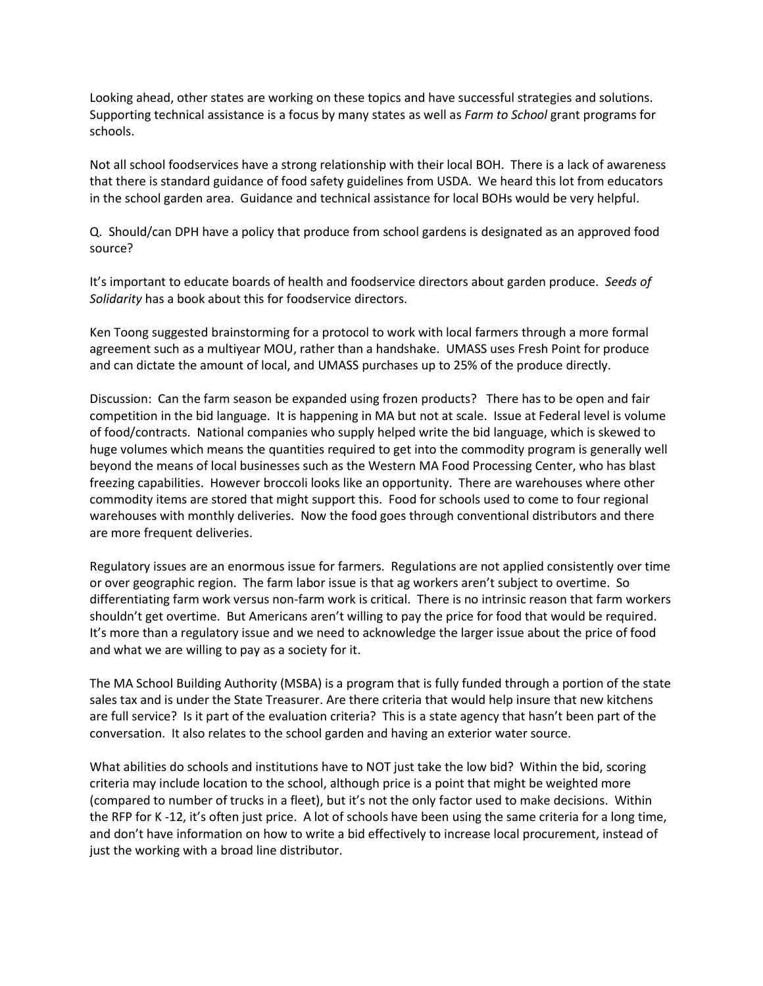Looking ahead, other states are working on these topics and have successful strategies and solutions. Supporting technical assistance is a focus by many states as well as *Farm to School* grant programs for schools.

Not all school foodservices have a strong relationship with their local BOH. There is a lack of awareness that there is standard guidance of food safety guidelines from USDA. We heard this lot from educators in the school garden area. Guidance and technical assistance for local BOHs would be very helpful.

Q. Should/can DPH have a policy that produce from school gardens is designated as an approved food source?

It's important to educate boards of health and foodservice directors about garden produce. *Seeds of Solidarity* has a book about this for foodservice directors.

Ken Toong suggested brainstorming for a protocol to work with local farmers through a more formal agreement such as a multiyear MOU, rather than a handshake. UMASS uses Fresh Point for produce and can dictate the amount of local, and UMASS purchases up to 25% of the produce directly.

Discussion: Can the farm season be expanded using frozen products? There has to be open and fair competition in the bid language. It is happening in MA but not at scale. Issue at Federal level is volume of food/contracts. National companies who supply helped write the bid language, which is skewed to huge volumes which means the quantities required to get into the commodity program is generally well beyond the means of local businesses such as the Western MA Food Processing Center, who has blast freezing capabilities. However broccoli looks like an opportunity. There are warehouses where other commodity items are stored that might support this. Food for schools used to come to four regional warehouses with monthly deliveries. Now the food goes through conventional distributors and there are more frequent deliveries.

Regulatory issues are an enormous issue for farmers. Regulations are not applied consistently over time or over geographic region. The farm labor issue is that ag workers aren't subject to overtime. So differentiating farm work versus non-farm work is critical. There is no intrinsic reason that farm workers shouldn't get overtime. But Americans aren't willing to pay the price for food that would be required. It's more than a regulatory issue and we need to acknowledge the larger issue about the price of food and what we are willing to pay as a society for it.

The MA School Building Authority (MSBA) is a program that is fully funded through a portion of the state sales tax and is under the State Treasurer. Are there criteria that would help insure that new kitchens are full service? Is it part of the evaluation criteria? This is a state agency that hasn't been part of the conversation. It also relates to the school garden and having an exterior water source.

What abilities do schools and institutions have to NOT just take the low bid? Within the bid, scoring criteria may include location to the school, although price is a point that might be weighted more (compared to number of trucks in a fleet), but it's not the only factor used to make decisions. Within the RFP for K -12, it's often just price. A lot of schools have been using the same criteria for a long time, and don't have information on how to write a bid effectively to increase local procurement, instead of just the working with a broad line distributor.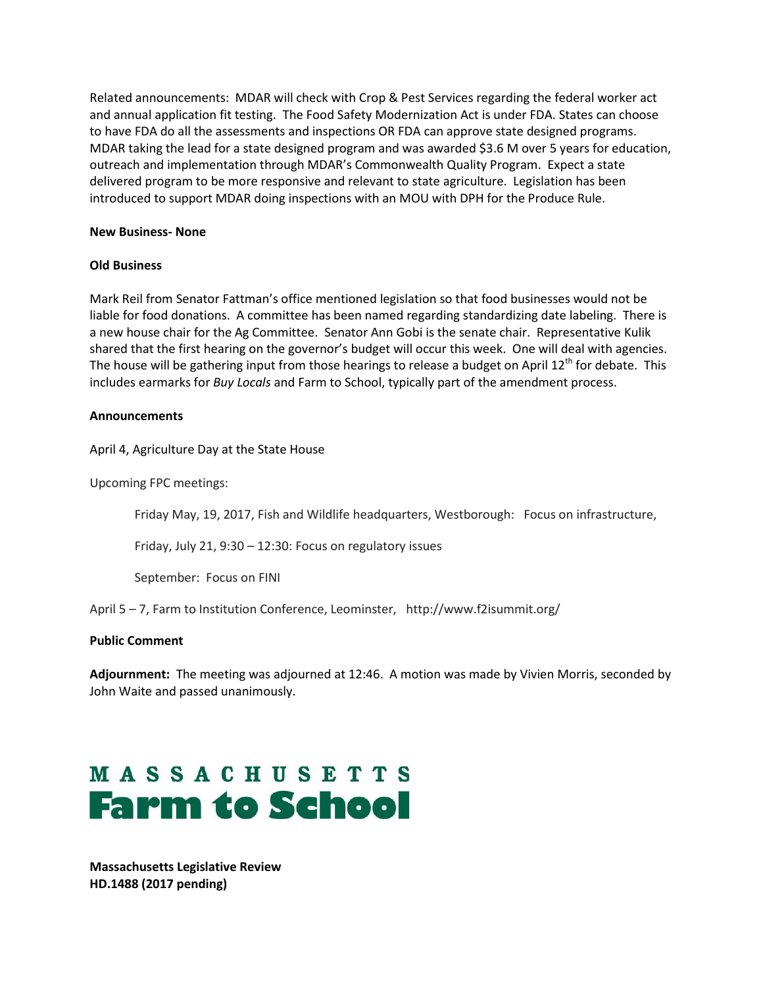Related announcements: MDAR will check with Crop & Pest Services regarding the federal worker act and annual application fit testing. The Food Safety Modernization Act is under FDA. States can choose to have FDA do all the assessments and inspections OR FDA can approve state designed programs. MDAR taking the lead for a state designed program and was awarded \$3.6 M over 5 years for education, outreach and implementation through MDAR's Commonwealth Quality Program. Expect a state delivered program to be more responsive and relevant to state agriculture. Legislation has been introduced to support MDAR doing inspections with an MOU with DPH for the Produce Rule.

#### **New Business- None**

#### **Old Business**

Mark Reil from Senator Fattman's office mentioned legislation so that food businesses would not be liable for food donations. A committee has been named regarding standardizing date labeling. There is a new house chair for the Ag Committee. Senator Ann Gobi is the senate chair. Representative Kulik shared that the first hearing on the governor's budget will occur this week. One will deal with agencies. The house will be gathering input from those hearings to release a budget on April  $12<sup>th</sup>$  for debate. This includes earmarks for *Buy Locals* and Farm to School, typically part of the amendment process.

#### **Announcements**

April 4, Agriculture Day at the State House

Upcoming FPC meetings:

Friday May, 19, 2017, Fish and Wildlife headquarters, Westborough: Focus on infrastructure,

Friday, July 21, 9:30 – 12:30: Focus on regulatory issues

September: Focus on FINI

April 5 – 7, Farm to Institution Conference, Leominster, http://www.f2isummit.org/

# **Public Comment**

**Adjournment:** The meeting was adjourned at 12:46. A motion was made by Vivien Morris, seconded by John Waite and passed unanimously.

# **MASSACHUSETTS Farm to School**

**Massachusetts Legislative Review HD.1488 (2017 pending)**